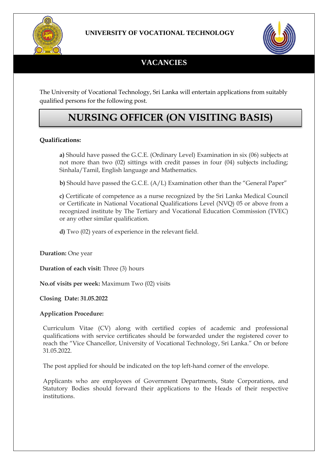



# **VACANCIES**

The University of Vocational Technology, Sri Lanka will entertain applications from suitably qualified persons for the following post.

# **NURSING OFFICER (ON VISITING BASIS)**

### **Qualifications:**

**a)** Should have passed the G.C.E. (Ordinary Level) Examination in six (06) subjects at not more than two (02) sittings with credit passes in four (04) subjects including; Sinhala/Tamil, English language and Mathematics.

**b)** Should have passed the G.C.E. (A/L) Examination other than the "General Paper"

**c)** Certificate of competence as a nurse recognized by the Sri Lanka Medical Council or Certificate in National Vocational Qualifications Level (NVQ) 05 or above from a recognized institute by The Tertiary and Vocational Education Commission (TVEC) or any other similar qualification.

**d)** Two (02) years of experience in the relevant field.

**Duration:** One year

**Duration of each visit:** Three (3) hours

**No.of visits per week:** Maximum Two (02) visits

**Closing Date: 31.05.2022** 

#### **Application Procedure:**

Curriculum Vitae (CV) along with certified copies of academic and professional qualifications with service certificates should be forwarded under the registered cover to reach the "Vice Chancellor, University of Vocational Technology, Sri Lanka." On or before 31.05.2022.

The post applied for should be indicated on the top left-hand corner of the envelope.

Applicants who are employees of Government Departments, State Corporations, and Statutory Bodies should forward their applications to the Heads of their respective institutions.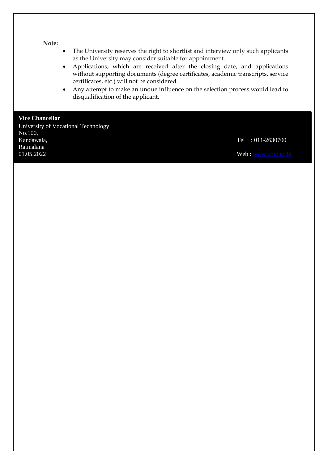#### **Note:**

- The University reserves the right to shortlist and interview only such applicants as the University may consider suitable for appointment.
- Applications, which are received after the closing date, and applications without supporting documents (degree certificates, academic transcripts, service certificates, etc.) will not be considered.
- Any attempt to make an undue influence on the selection process would lead to disqualification of the applicant.

## **Vice Chancellor**

University of Vocational Technology No.100,<br>Kandawala, Ratmalana  $01.05.2022$  Web: [www.uovt.ac.lk](http://www.uovt.ac.lk/)

Tel : 011-2630700